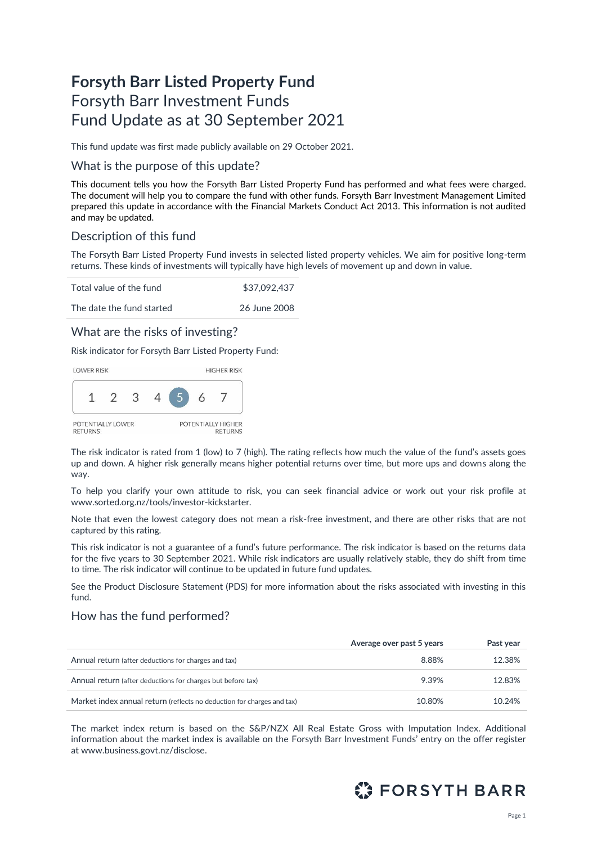# **Forsyth Barr Listed Property Fund** Forsyth Barr Investment Funds Fund Update as at 30 September 2021

This fund update was first made publicly available on 29 October 2021.

### What is the purpose of this update?

This document tells you how the Forsyth Barr Listed Property Fund has performed and what fees were charged. The document will help you to compare the fund with other funds. Forsyth Barr Investment Management Limited prepared this update in accordance with the Financial Markets Conduct Act 2013. This information is not audited and may be updated.

# Description of this fund

The Forsyth Barr Listed Property Fund invests in selected listed property vehicles. We aim for positive long-term returns. These kinds of investments will typically have high levels of movement up and down in value.

Total value of the fund \$37,092,437

The date the fund started 26 June 2008

### What are the risks of investing?

Risk indicator for Forsyth Barr Listed Property Fund:



The risk indicator is rated from 1 (low) to 7 (high). The rating reflects how much the value of the fund's assets goes up and down. A higher risk generally means higher potential returns over time, but more ups and downs along the way.

To help you clarify your own attitude to risk, you can seek financial advice or work out your risk profile at [www.sorted.org.nz/tools/investor-kickstarter.](http://www.sorted.org.nz/tools/investor-kickstarter) 

Note that even the lowest category does not mean a risk-free investment, and there are other risks that are not captured by this rating.

This risk indicator is not a guarantee of a fund's future performance. The risk indicator is based on the returns data for the five years to 30 September 2021. While risk indicators are usually relatively stable, they do shift from time to time. The risk indicator will continue to be updated in future fund updates.

See the Product Disclosure Statement (PDS) for more information about the risks associated with investing in this fund.

### How has the fund performed?

|                                                                        | Average over past 5 years | Past year |
|------------------------------------------------------------------------|---------------------------|-----------|
| Annual return (after deductions for charges and tax)                   | 8.88%                     | 12.38%    |
| Annual return (after deductions for charges but before tax)            | 9.39%                     | 12.83%    |
| Market index annual return (reflects no deduction for charges and tax) | 10.80%                    | 10.24%    |

The market index return is based on the S&P/NZX All Real Estate Gross with Imputation Index. Additional information about the market index is available on the Forsyth Barr Investment Funds' entry on the offer register at [www.business.govt.nz/disclose.](http://www.business.govt.nz/disclose)

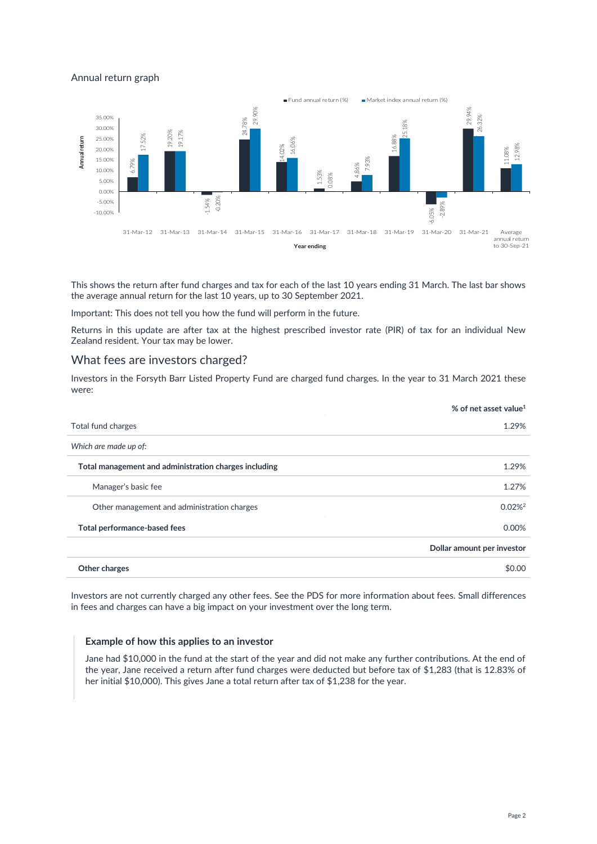### Annual return graph



This shows the return after fund charges and tax for each of the last 10 years ending 31 March. The last bar shows the average annual return for the last 10 years, up to 30 September 2021.

Important: This does not tell you how the fund will perform in the future.

Returns in this update are after tax at the highest prescribed investor rate (PIR) of tax for an individual New Zealand resident. Your tax may be lower.

### What fees are investors charged?

Investors in the Forsyth Barr Listed Property Fund are charged fund charges. In the year to 31 March 2021 these were:

| % of net asset value <sup>1</sup> |
|-----------------------------------|
| 1.29%                             |
|                                   |
| 1.29%                             |
| 1.27%                             |
| $0.02\%$ <sup>2</sup>             |
| 0.00%                             |
| Dollar amount per investor        |
| \$0.00                            |
|                                   |

Investors are not currently charged any other fees. See the PDS for more information about fees. Small differences in fees and charges can have a big impact on your investment over the long term.

#### **Example of how this applies to an investor**

Jane had \$10,000 in the fund at the start of the year and did not make any further contributions. At the end of the year, Jane received a return after fund charges were deducted but before tax of \$1,283 (that is 12.83% of her initial \$10,000). This gives Jane a total return after tax of \$1,238 for the year.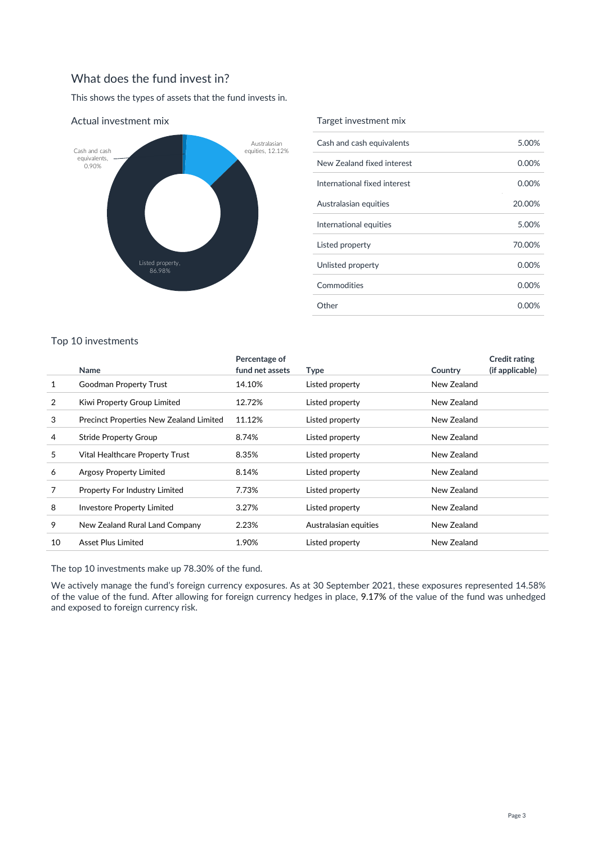# What does the fund invest in?

This shows the types of assets that the fund invests in.



#### Actual investment mix

### Target investment mix

| Cash and cash equivalents    | 5.00%  |
|------------------------------|--------|
| New Zealand fixed interest   | 0.00%  |
| International fixed interest | 0.00%  |
| Australasian equities        | 20.00% |
| International equities       | 5.00%  |
| Listed property              | 70.00% |
| Unlisted property            | 0.00%  |
| Commodities                  | 0.00%  |
| Other                        | 0.00%  |

### Top 10 investments

|    |                                                | Percentage of   |                       |             | <b>Credit rating</b> |
|----|------------------------------------------------|-----------------|-----------------------|-------------|----------------------|
|    | <b>Name</b>                                    | fund net assets | Type                  | Country     | (if applicable)      |
| 1  | Goodman Property Trust                         | 14.10%          | Listed property       | New Zealand |                      |
| 2  | Kiwi Property Group Limited                    | 12.72%          | Listed property       | New Zealand |                      |
| 3  | <b>Precinct Properties New Zealand Limited</b> | 11.12%          | Listed property       | New Zealand |                      |
| 4  | <b>Stride Property Group</b>                   | 8.74%           | Listed property       | New Zealand |                      |
| 5  | Vital Healthcare Property Trust                | 8.35%           | Listed property       | New Zealand |                      |
| 6  | <b>Argosy Property Limited</b>                 | 8.14%           | Listed property       | New Zealand |                      |
| 7  | Property For Industry Limited                  | 7.73%           | Listed property       | New Zealand |                      |
| 8  | <b>Investore Property Limited</b>              | 3.27%           | Listed property       | New Zealand |                      |
| 9  | New Zealand Rural Land Company                 | 2.23%           | Australasian equities | New Zealand |                      |
| 10 | Asset Plus Limited                             | 1.90%           | Listed property       | New Zealand |                      |

The top 10 investments make up 78.30% of the fund.

We actively manage the fund's foreign currency exposures. As at 30 September 2021, these exposures represented 14.58% of the value of the fund. After allowing for foreign currency hedges in place, 9.17% of the value of the fund was unhedged and exposed to foreign currency risk.